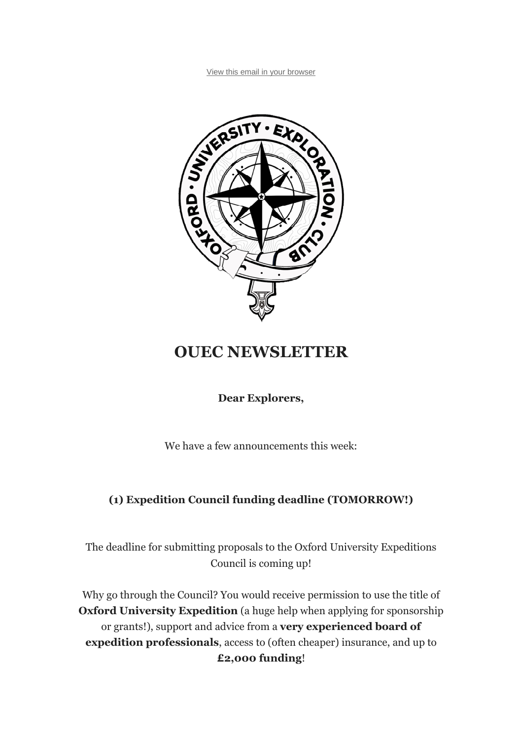

# **OUEC NEWSLETTER**

## **Dear Explorers,**

We have a few announcements this week:

## **(1) Expedition Council funding deadline (TOMORROW!)**

The deadline for submitting proposals to the Oxford University Expeditions Council is coming up!

Why go through the Council? You would receive permission to use the title of **Oxford University Expedition** (a huge help when applying for sponsorship or grants!), support and advice from a **very experienced board of expedition professionals**, access to (often cheaper) insurance, and up to **£2,000 funding**!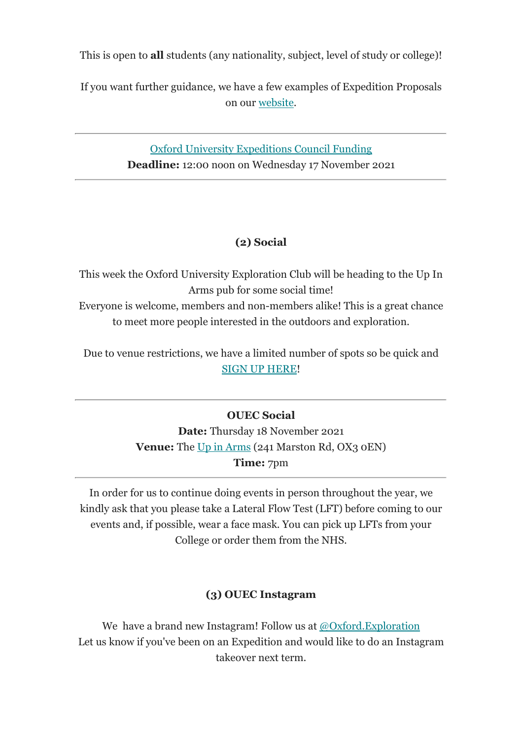This is open to **all** students (any nationality, subject, level of study or college)!

If you want further guidance, we have a few examples of Expedition Proposals on our website.

> Oxford University Expeditions Council Funding **Deadline:** 12:00 noon on Wednesday 17 November 2021

## **(2) Social**

This week the Oxford University Exploration Club will be heading to the Up In Arms pub for some social time!

Everyone is welcome, members and non-members alike! This is a great chance to meet more people interested in the outdoors and exploration.

Due to venue restrictions, we have a limited number of spots so be quick and SIGN UP HERE!

## **OUEC Social**

**Date:** Thursday 18 November 2021 **Venue:** The Up in Arms (241 Marston Rd, OX3 0EN) **Time:** 7pm

In order for us to continue doing events in person throughout the year, we kindly ask that you please take a Lateral Flow Test (LFT) before coming to our events and, if possible, wear a face mask. You can pick up LFTs from your College or order them from the NHS.

## **(3) OUEC Instagram**

We have a brand new Instagram! Follow us at @Oxford.Exploration Let us know if you've been on an Expedition and would like to do an Instagram takeover next term.